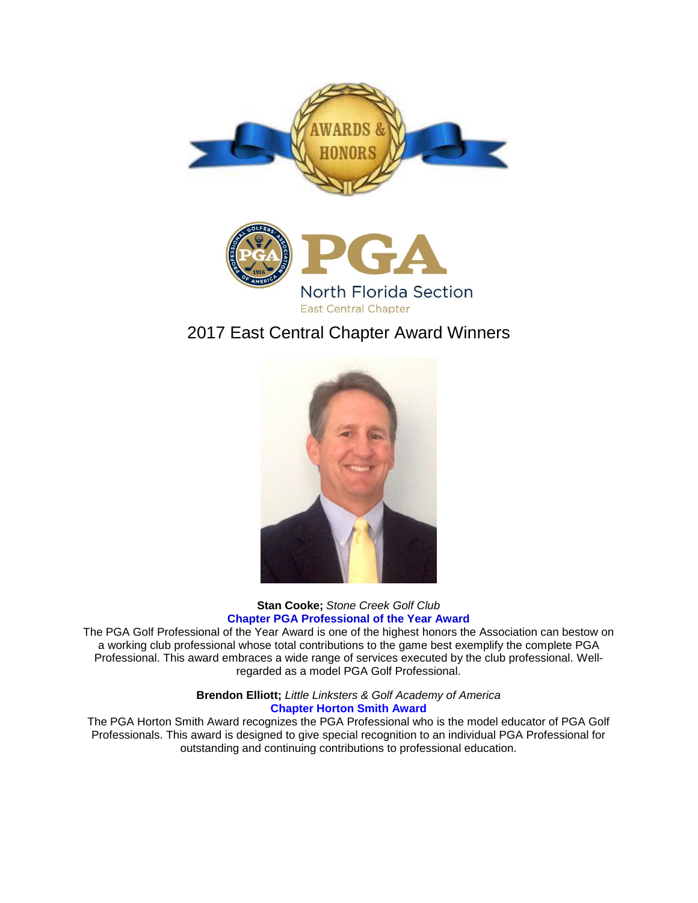



# 2017 East Central Chapter Award Winners



## **Stan Cooke;** *Stone Creek Golf Club* **Chapter PGA Professional of the Year Award**

The PGA Golf Professional of the Year Award is one of the highest honors the Association can bestow on a working club professional whose total contributions to the game best exemplify the complete PGA Professional. This award embraces a wide range of services executed by the club professional. Wellregarded as a model PGA Golf Professional.

> **Brendon Elliott;** *Little Linksters & Golf Academy of America* **Chapter Horton Smith Award**

The PGA Horton Smith Award recognizes the PGA Professional who is the model educator of PGA Golf Professionals. This award is designed to give special recognition to an individual PGA Professional for outstanding and continuing contributions to professional education.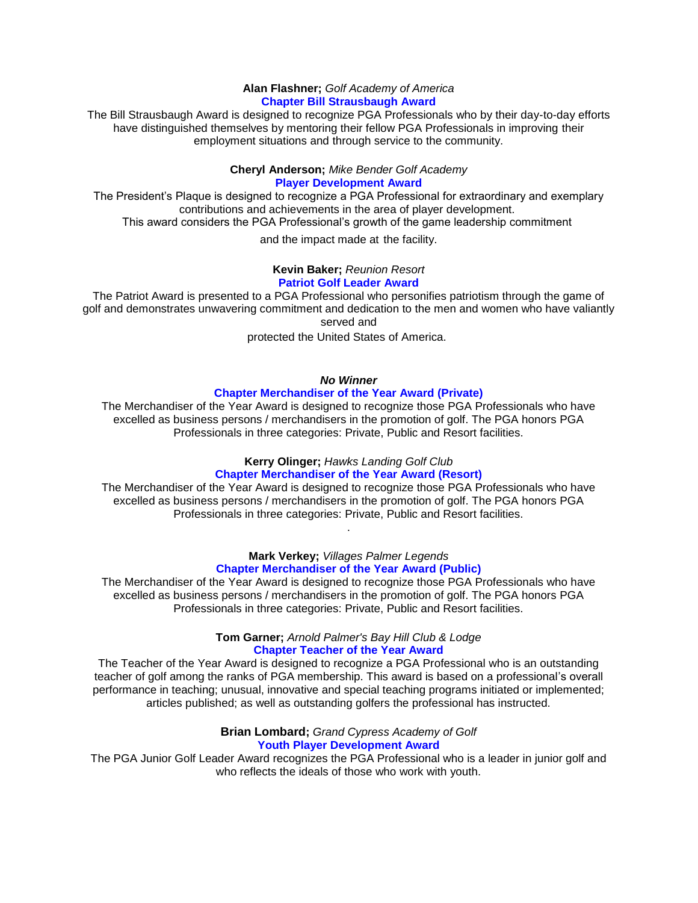#### **Alan Flashner;** *Golf Academy of America* **Chapter Bill Strausbaugh Award**

The Bill Strausbaugh Award is designed to recognize PGA Professionals who by their day-to-day efforts have distinguished themselves by mentoring their fellow PGA Professionals in improving their employment situations and through service to the community.

## **Cheryl Anderson;** *Mike Bender Golf Academy* **Player Development Award**

The President's Plaque is designed to recognize a PGA Professional for extraordinary and exemplary contributions and achievements in the area of player development.

This award considers the PGA Professional's growth of the game leadership commitment

and the impact made at the facility.

#### **Kevin Baker;** *Reunion Resort* **Patriot Golf Leader Award**

The Patriot Award is presented to a PGA Professional who personifies patriotism through the game of golf and demonstrates unwavering commitment and dedication to the men and women who have valiantly served and

protected the United States of America.

## *No Winner*

## **Chapter Merchandiser of the Year Award (Private)**

The Merchandiser of the Year Award is designed to recognize those PGA Professionals who have excelled as business persons / merchandisers in the promotion of golf. The PGA honors PGA Professionals in three categories: Private, Public and Resort facilities.

#### **Kerry Olinger;** *Hawks Landing Golf Club* **Chapter Merchandiser of the Year Award (Resort)**

The Merchandiser of the Year Award is designed to recognize those PGA Professionals who have excelled as business persons / merchandisers in the promotion of golf. The PGA honors PGA Professionals in three categories: Private, Public and Resort facilities.

.

#### **Mark Verkey;** *Villages Palmer Legends* **Chapter Merchandiser of the Year Award (Public)**

The Merchandiser of the Year Award is designed to recognize those PGA Professionals who have excelled as business persons / merchandisers in the promotion of golf. The PGA honors PGA Professionals in three categories: Private, Public and Resort facilities.

## **Tom Garner;** *Arnold Palmer's Bay Hill Club & Lodge* **Chapter Teacher of the Year Award**

The Teacher of the Year Award is designed to recognize a PGA Professional who is an outstanding teacher of golf among the ranks of PGA membership. This award is based on a professional's overall performance in teaching; unusual, innovative and special teaching programs initiated or implemented; articles published; as well as outstanding golfers the professional has instructed.

### **Brian Lombard;** *Grand Cypress Academy of Golf* **Youth Player Development Award**

The PGA Junior Golf Leader Award recognizes the PGA Professional who is a leader in junior golf and who reflects the ideals of those who work with youth.